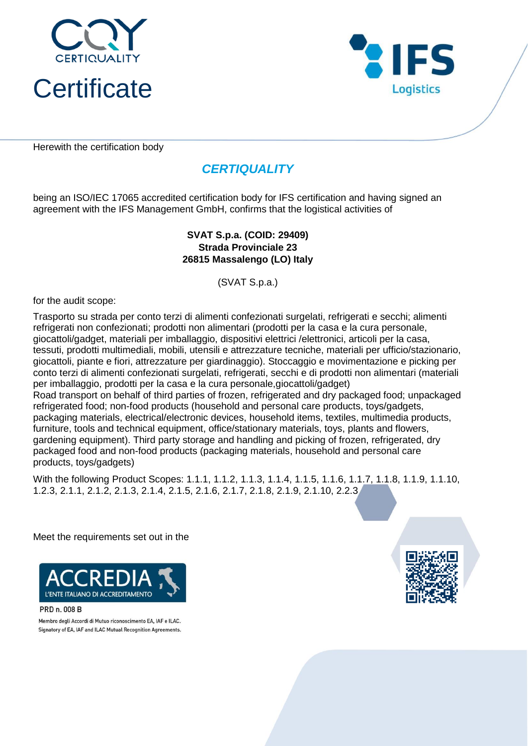



Herewith the certification body

# *CERTIQUALITY*

being an ISO/IEC 17065 accredited certification body for IFS certification and having signed an agreement with the IFS Management GmbH, confirms that the logistical activities of

## **Strada Provinciale 23 26815 Massalengo (LO) Italy SVAT S.p.a. (COID: 29409)**

(SVAT S.p.a.)

for the audit scope:

Trasporto su strada per conto terzi di alimenti confezionati surgelati, refrigerati e secchi; alimenti refrigerati non confezionati; prodotti non alimentari (prodotti per la casa e la cura personale, giocattoli/gadget, materiali per imballaggio, dispositivi elettrici /elettronici, articoli per la casa, tessuti, prodotti multimediali, mobili, utensili e attrezzature tecniche, materiali per ufficio/stazionario, giocattoli, piante e fiori, attrezzature per giardinaggio). Stoccaggio e movimentazione e picking per conto terzi di alimenti confezionati surgelati, refrigerati, secchi e di prodotti non alimentari (materiali per imballaggio, prodotti per la casa e la cura personale,giocattoli/gadget) Road transport on behalf of third parties of frozen, refrigerated and dry packaged food; unpackaged refrigerated food; non-food products (household and personal care products, toys/gadgets, packaging materials, electrical/electronic devices, household items, textiles, multimedia products, furniture, tools and technical equipment, office/stationary materials, toys, plants and flowers, gardening equipment). Third party storage and handling and picking of frozen, refrigerated, dry packaged food and non-food products (packaging materials, household and personal care products, toys/gadgets)

With the following Product Scopes: 1.1.1, 1.1.2, 1.1.3, 1.1.4, 1.1.5, 1.1.6, 1.1.7, 1.1.8, 1.1.9, 1.1.10, 1.2.3, 2.1.1, 2.1.2, 2.1.3, 2.1.4, 2.1.5, 2.1.6, 2.1.7, 2.1.8, 2.1.9, 2.1.10, 2.2.3

Meet the requirements set out in the



PRD n. 008 B

Membro degli Accordi di Mutuo riconoscimento EA, IAF e ILAC. Signatory of EA, IAF and ILAC Mutual Recognition Agreements.